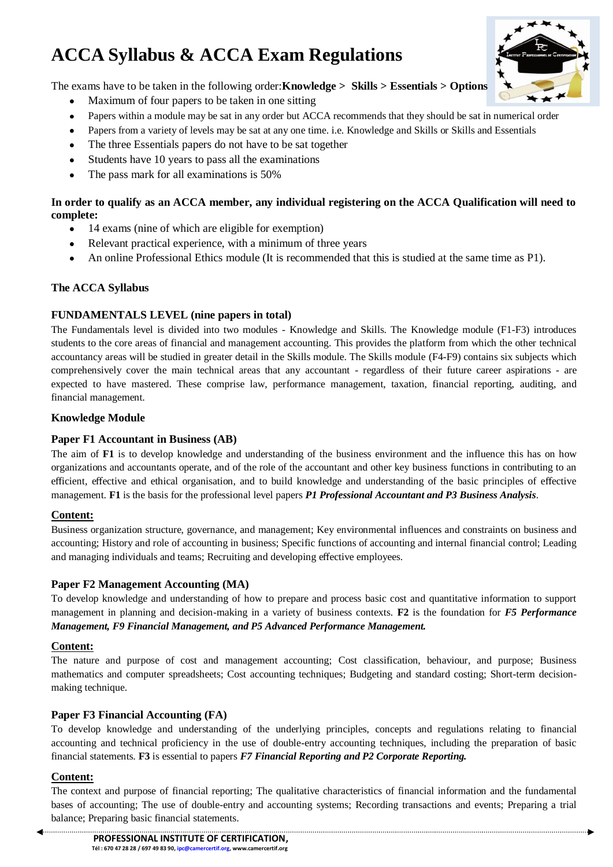# **ACCA Syllabus & ACCA Exam Regulations**



The exams have to be taken in the following order:**Knowledge > Skills > Essentials > Options**

- Maximum of four papers to be taken in one sitting  $\bullet$
- Papers within a module may be sat in any order but ACCA recommends that they should be sat in numerical order
- Papers from a variety of levels may be sat at any one time. i.e. Knowledge and Skills or Skills and Essentials  $\bullet$
- The three Essentials papers do not have to be sat together  $\bullet$
- Students have 10 years to pass all the examinations  $\bullet$
- The pass mark for all examinations is 50%  $\bullet$

# **In order to qualify as an ACCA member, any individual registering on the ACCA Qualification will need to complete:**

- 14 exams (nine of which are eligible for exemption)  $\bullet$
- Relevant practical experience, with a minimum of three years  $\bullet$
- An online Professional Ethics module (It is recommended that this is studied at the same time as P1).

# **The ACCA Syllabus**

# **FUNDAMENTALS LEVEL (nine papers in total)**

The Fundamentals level is divided into two modules - Knowledge and Skills. The Knowledge module (F1-F3) introduces students to the core areas of financial and management accounting. This provides the platform from which the other technical accountancy areas will be studied in greater detail in the Skills module. The Skills module (F4-F9) contains six subjects which comprehensively cover the main technical areas that any accountant - regardless of their future career aspirations - are expected to have mastered. These comprise law, performance management, taxation, financial reporting, auditing, and financial management.

# **Knowledge Module**

### **Paper F1 Accountant in Business (AB)**

The aim of **F1** is to develop knowledge and understanding of the business environment and the influence this has on how organizations and accountants operate, and of the role of the accountant and other key business functions in contributing to an efficient, effective and ethical organisation, and to build knowledge and understanding of the basic principles of effective management. **F1** is the basis for the professional level papers *P1 Professional Accountant and P3 Business Analysis*.

#### **Content:**

Business organization structure, governance, and management; Key environmental influences and constraints on business and accounting; History and role of accounting in business; Specific functions of accounting and internal financial control; Leading and managing individuals and teams; Recruiting and developing effective employees.

#### **Paper F2 Management Accounting (MA)**

To develop knowledge and understanding of how to prepare and process basic cost and quantitative information to support management in planning and decision-making in a variety of business contexts. **F2** is the foundation for *F5 Performance Management, F9 Financial Management, and P5 Advanced Performance Management.*

#### **Content:**

The nature and purpose of cost and management accounting; Cost classification, behaviour, and purpose; Business mathematics and computer spreadsheets; Cost accounting techniques; Budgeting and standard costing; Short-term decisionmaking technique.

#### **Paper F3 Financial Accounting (FA)**

To develop knowledge and understanding of the underlying principles, concepts and regulations relating to financial accounting and technical proficiency in the use of double-entry accounting techniques, including the preparation of basic financial statements. **F3** is essential to papers *F7 Financial Reporting and P2 Corporate Reporting.*

#### **Content:**

The context and purpose of financial reporting; The qualitative characteristics of financial information and the fundamental bases of accounting; The use of double-entry and accounting systems; Recording transactions and events; Preparing a trial balance; Preparing basic financial statements.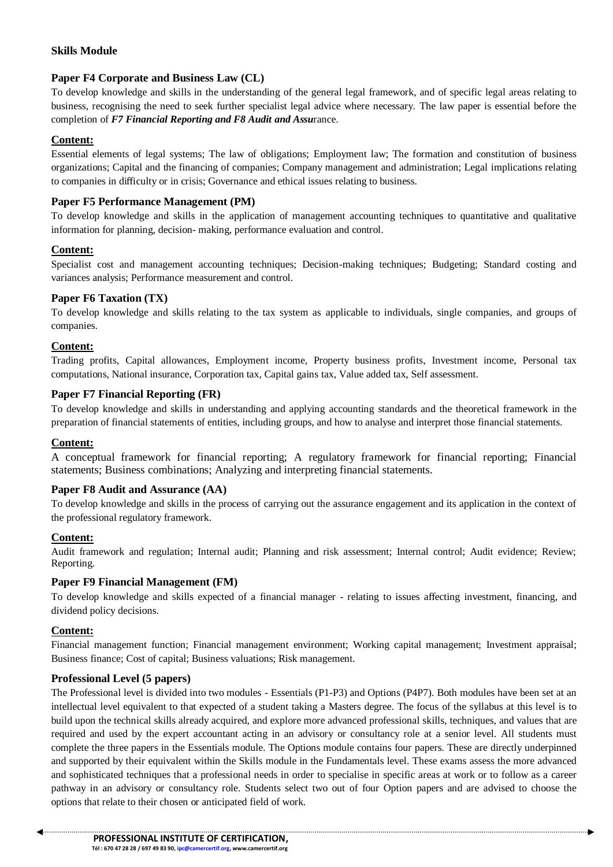# **Skills Module**

# **Paper F4 Corporate and Business Law (CL)**

To develop knowledge and skills in the understanding of the general legal framework, and of specific legal areas relating to business, recognising the need to seek further specialist legal advice where necessary. The law paper is essential before the completion of *F7 Financial Reporting and F8 Audit and Assu*rance.

# **Content:**

Essential elements of legal systems; The law of obligations; Employment law; The formation and constitution of business organizations; Capital and the financing of companies; Company management and administration; Legal implications relating to companies in difficulty or in crisis; Governance and ethical issues relating to business.

# **Paper F5 Performance Management (PM)**

To develop knowledge and skills in the application of management accounting techniques to quantitative and qualitative information for planning, decision- making, performance evaluation and control.

# **Content:**

Specialist cost and management accounting techniques; Decision-making techniques; Budgeting; Standard costing and variances analysis; Performance measurement and control.

#### **Paper F6 Taxation (TX)**

To develop knowledge and skills relating to the tax system as applicable to individuals, single companies, and groups of companies.

# **Content:**

Trading profits, Capital allowances, Employment income, Property business profits, Investment income, Personal tax computations, National insurance, Corporation tax, Capital gains tax, Value added tax, Self assessment.

#### **Paper F7 Financial Reporting (FR)**

To develop knowledge and skills in understanding and applying accounting standards and the theoretical framework in the preparation of financial statements of entities, including groups, and how to analyse and interpret those financial statements.

#### **Content:**

A conceptual framework for financial reporting; A regulatory framework for financial reporting; Financial statements; Business combinations; Analyzing and interpreting financial statements.

#### **Paper F8 Audit and Assurance (AA)**

To develop knowledge and skills in the process of carrying out the assurance engagement and its application in the context of the professional regulatory framework.

#### **Content:**

Audit framework and regulation; Internal audit; Planning and risk assessment; Internal control; Audit evidence; Review; Reporting.

#### **Paper F9 Financial Management (FM)**

To develop knowledge and skills expected of a financial manager - relating to issues affecting investment, financing, and dividend policy decisions.

#### **Content:**

Financial management function; Financial management environment; Working capital management; Investment appraisal; Business finance; Cost of capital; Business valuations; Risk management.

#### **Professional Level (5 papers)**

The Professional level is divided into two modules - Essentials (P1-P3) and Options (P4P7). Both modules have been set at an intellectual level equivalent to that expected of a student taking a Masters degree. The focus of the syllabus at this level is to build upon the technical skills already acquired, and explore more advanced professional skills, techniques, and values that are required and used by the expert accountant acting in an advisory or consultancy role at a senior level. All students must complete the three papers in the Essentials module. The Options module contains four papers. These are directly underpinned and supported by their equivalent within the Skills module in the Fundamentals level. These exams assess the more advanced and sophisticated techniques that a professional needs in order to specialise in specific areas at work or to follow as a career pathway in an advisory or consultancy role. Students select two out of four Option papers and are advised to choose the options that relate to their chosen or anticipated field of work.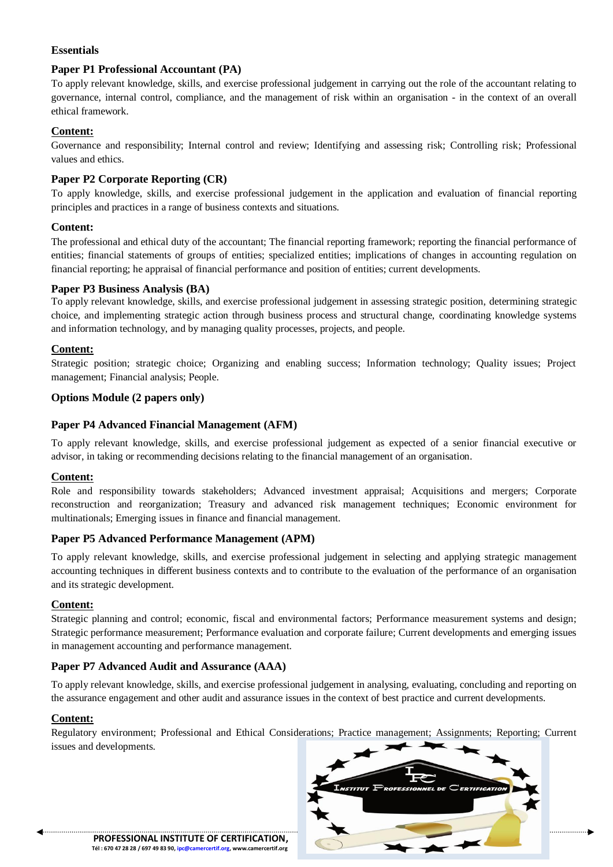# **Essentials**

# **Paper P1 Professional Accountant (PA)**

To apply relevant knowledge, skills, and exercise professional judgement in carrying out the role of the accountant relating to governance, internal control, compliance, and the management of risk within an organisation - in the context of an overall ethical framework.

# **Content:**

Governance and responsibility; Internal control and review; Identifying and assessing risk; Controlling risk; Professional values and ethics.

# **Paper P2 Corporate Reporting (CR)**

To apply knowledge, skills, and exercise professional judgement in the application and evaluation of financial reporting principles and practices in a range of business contexts and situations.

# **Content:**

The professional and ethical duty of the accountant; The financial reporting framework; reporting the financial performance of entities; financial statements of groups of entities; specialized entities; implications of changes in accounting regulation on financial reporting; he appraisal of financial performance and position of entities; current developments.

#### **Paper P3 Business Analysis (BA)**

To apply relevant knowledge, skills, and exercise professional judgement in assessing strategic position, determining strategic choice, and implementing strategic action through business process and structural change, coordinating knowledge systems and information technology, and by managing quality processes, projects, and people.

# **Content:**

Strategic position; strategic choice; Organizing and enabling success; Information technology; Quality issues; Project management; Financial analysis; People.

# **Options Module (2 papers only)**

# **Paper P4 Advanced Financial Management (AFM)**

To apply relevant knowledge, skills, and exercise professional judgement as expected of a senior financial executive or advisor, in taking or recommending decisions relating to the financial management of an organisation.

#### **Content:**

Role and responsibility towards stakeholders; Advanced investment appraisal; Acquisitions and mergers; Corporate reconstruction and reorganization; Treasury and advanced risk management techniques; Economic environment for multinationals; Emerging issues in finance and financial management.

#### **Paper P5 Advanced Performance Management (APM)**

To apply relevant knowledge, skills, and exercise professional judgement in selecting and applying strategic management accounting techniques in different business contexts and to contribute to the evaluation of the performance of an organisation and its strategic development.

# **Content:**

Strategic planning and control; economic, fiscal and environmental factors; Performance measurement systems and design; Strategic performance measurement; Performance evaluation and corporate failure; Current developments and emerging issues in management accounting and performance management.

# **Paper P7 Advanced Audit and Assurance (AAA)**

To apply relevant knowledge, skills, and exercise professional judgement in analysing, evaluating, concluding and reporting on the assurance engagement and other audit and assurance issues in the context of best practice and current developments.

#### **Content:**

Regulatory environment; Professional and Ethical Considerations; Practice management; Assignments; Reporting; Current issues and developments.